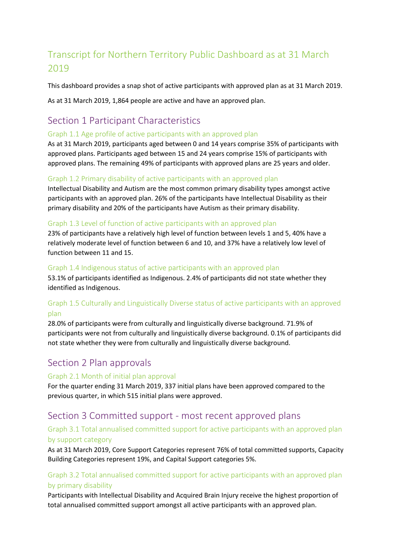# Transcript for Northern Territory Public Dashboard as at 31 March 2019

This dashboard provides a snap shot of active participants with approved plan as at 31 March 2019.

As at 31 March 2019, 1,864 people are active and have an approved plan.

# Section 1 Participant Characteristics

#### Graph 1.1 Age profile of active participants with an approved plan

As at 31 March 2019, participants aged between 0 and 14 years comprise 35% of participants with approved plans. Participants aged between 15 and 24 years comprise 15% of participants with approved plans. The remaining 49% of participants with approved plans are 25 years and older.

#### Graph 1.2 Primary disability of active participants with an approved plan

Intellectual Disability and Autism are the most common primary disability types amongst active participants with an approved plan. 26% of the participants have Intellectual Disability as their primary disability and 20% of the participants have Autism as their primary disability.

#### Graph 1.3 Level of function of active participants with an approved plan

23% of participants have a relatively high level of function between levels 1 and 5, 40% have a relatively moderate level of function between 6 and 10, and 37% have a relatively low level of function between 11 and 15.

#### Graph 1.4 Indigenous status of active participants with an approved plan

53.1% of participants identified as Indigenous. 2.4% of participants did not state whether they identified as Indigenous.

# Graph 1.5 Culturally and Linguistically Diverse status of active participants with an approved plan

28.0% of participants were from culturally and linguistically diverse background. 71.9% of participants were not from culturally and linguistically diverse background. 0.1% of participants did not state whether they were from culturally and linguistically diverse background.

# Section 2 Plan approvals

#### Graph 2.1 Month of initial plan approval

For the quarter ending 31 March 2019, 337 initial plans have been approved compared to the previous quarter, in which 515 initial plans were approved.

# Section 3 Committed support - most recent approved plans

# Graph 3.1 Total annualised committed support for active participants with an approved plan by support category

As at 31 March 2019, Core Support Categories represent 76% of total committed supports, Capacity Building Categories represent 19%, and Capital Support categories 5%.

# Graph 3.2 Total annualised committed support for active participants with an approved plan by primary disability

Participants with Intellectual Disability and Acquired Brain Injury receive the highest proportion of total annualised committed support amongst all active participants with an approved plan.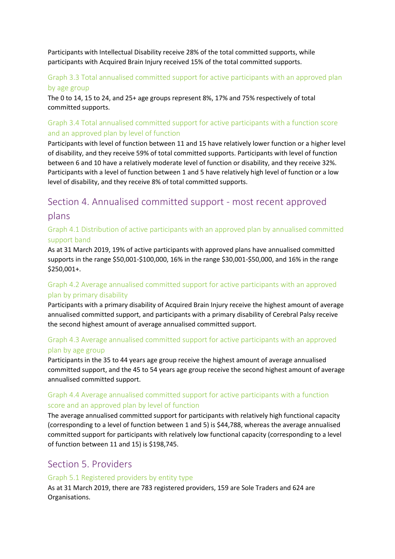Participants with Intellectual Disability receive 28% of the total committed supports, while participants with Acquired Brain Injury received 15% of the total committed supports.

# Graph 3.3 Total annualised committed support for active participants with an approved plan by age group

The 0 to 14, 15 to 24, and 25+ age groups represent 8%, 17% and 75% respectively of total committed supports.

# Graph 3.4 Total annualised committed support for active participants with a function score and an approved plan by level of function

Participants with level of function between 11 and 15 have relatively lower function or a higher level of disability, and they receive 59% of total committed supports. Participants with level of function between 6 and 10 have a relatively moderate level of function or disability, and they receive 32%. Participants with a level of function between 1 and 5 have relatively high level of function or a low level of disability, and they receive 8% of total committed supports.

# Section 4. Annualised committed support - most recent approved plans

# Graph 4.1 Distribution of active participants with an approved plan by annualised committed support band

As at 31 March 2019, 19% of active participants with approved plans have annualised committed supports in the range \$50,001-\$100,000, 16% in the range \$30,001-\$50,000, and 16% in the range \$250,001+.

# Graph 4.2 Average annualised committed support for active participants with an approved plan by primary disability

Participants with a primary disability of Acquired Brain Injury receive the highest amount of average annualised committed support, and participants with a primary disability of Cerebral Palsy receive the second highest amount of average annualised committed support.

# Graph 4.3 Average annualised committed support for active participants with an approved plan by age group

Participants in the 35 to 44 years age group receive the highest amount of average annualised committed support, and the 45 to 54 years age group receive the second highest amount of average annualised committed support.

# Graph 4.4 Average annualised committed support for active participants with a function score and an approved plan by level of function

The average annualised committed support for participants with relatively high functional capacity (corresponding to a level of function between 1 and 5) is \$44,788, whereas the average annualised committed support for participants with relatively low functional capacity (corresponding to a level of function between 11 and 15) is \$198,745.

# Section 5. Providers

#### Graph 5.1 Registered providers by entity type

As at 31 March 2019, there are 783 registered providers, 159 are Sole Traders and 624 are Organisations.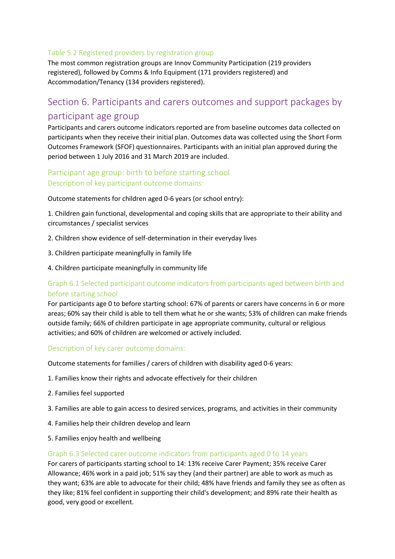#### Table 5.2 Registered providers by registration group

The most common registration groups are Innov Community Participation (219 providers registered), followed by Comms & Info Equipment (171 providers registered) and Accommodation/Tenancy (134 providers registered).

# Section 6. Participants and carers outcomes and support packages by participant age group

Participants and carers outcome indicators reported are from baseline outcomes data collected on participants when they receive their initial plan. Outcomes data was collected using the Short Form Outcomes Framework (SFOF) questionnaires. Participants with an initial plan approved during the period between 1 July 2016 and 31 March 2019 are included.

# Participant age group: birth to before starting school Description of key participant outcome domains:

Outcome statements for children aged 0-6 years (or school entry):

1. Children gain functional, developmental and coping skills that are appropriate to their ability and circumstances / specialist services

- 2. Children show evidence of self-determination in their everyday lives
- 3. Children participate meaningfully in family life
- 4. Children participate meaningfully in community life

# Graph 6.1 Selected participant outcome indicators from participants aged between birth and before starting school

For participants age 0 to before starting school: 67% of parents or carers have concerns in 6 or more areas; 60% say their child is able to tell them what he or she wants; 53% of children can make friends outside family; 66% of children participate in age appropriate community, cultural or religious activities; and 60% of children are welcomed or actively included.

#### Description of key carer outcome domains:

Outcome statements for families / carers of children with disability aged 0-6 years:

- 1. Families know their rights and advocate effectively for their children
- 2. Families feel supported
- 3. Families are able to gain access to desired services, programs, and activities in their community
- 4. Families help their children develop and learn
- 5. Families enjoy health and wellbeing

#### Graph 6.3 Selected carer outcome indicators from participants aged 0 to 14 years

For carers of participants starting school to 14: 13% receive Carer Payment; 35% receive Carer Allowance; 46% work in a paid job; 51% say they (and their partner) are able to work as much as they want; 63% are able to advocate for their child; 48% have friends and family they see as often as they like; 81% feel confident in supporting their child's development; and 89% rate their health as good, very good or excellent.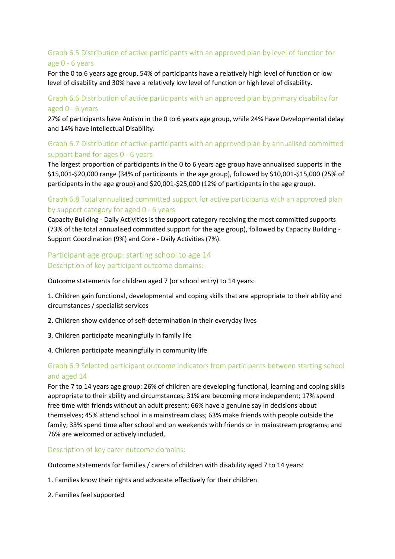# Graph 6.5 Distribution of active participants with an approved plan by level of function for age 0 - 6 years

For the 0 to 6 years age group, 54% of participants have a relatively high level of function or low level of disability and 30% have a relatively low level of function or high level of disability.

#### Graph 6.6 Distribution of active participants with an approved plan by primary disability for aged 0 - 6 years

27% of participants have Autism in the 0 to 6 years age group, while 24% have Developmental delay and 14% have Intellectual Disability.

# Graph 6.7 Distribution of active participants with an approved plan by annualised committed support band for ages 0 - 6 years

The largest proportion of participants in the 0 to 6 years age group have annualised supports in the \$15,001-\$20,000 range (34% of participants in the age group), followed by \$10,001-\$15,000 (25% of participants in the age group) and \$20,001-\$25,000 (12% of participants in the age group).

#### Graph 6.8 Total annualised committed support for active participants with an approved plan by support category for aged 0 - 6 years

Capacity Building - Daily Activities is the support category receiving the most committed supports (73% of the total annualised committed support for the age group), followed by Capacity Building - Support Coordination (9%) and Core - Daily Activities (7%).

#### Participant age group: starting school to age 14 Description of key participant outcome domains:

Outcome statements for children aged 7 (or school entry) to 14 years:

1. Children gain functional, developmental and coping skills that are appropriate to their ability and circumstances / specialist services

- 2. Children show evidence of self-determination in their everyday lives
- 3. Children participate meaningfully in family life
- 4. Children participate meaningfully in community life

#### Graph 6.9 Selected participant outcome indicators from participants between starting school and aged 14

For the 7 to 14 years age group: 26% of children are developing functional, learning and coping skills appropriate to their ability and circumstances; 31% are becoming more independent; 17% spend free time with friends without an adult present; 66% have a genuine say in decisions about themselves; 45% attend school in a mainstream class; 63% make friends with people outside the family; 33% spend time after school and on weekends with friends or in mainstream programs; and 76% are welcomed or actively included.

Description of key carer outcome domains:

Outcome statements for families / carers of children with disability aged 7 to 14 years:

- 1. Families know their rights and advocate effectively for their children
- 2. Families feel supported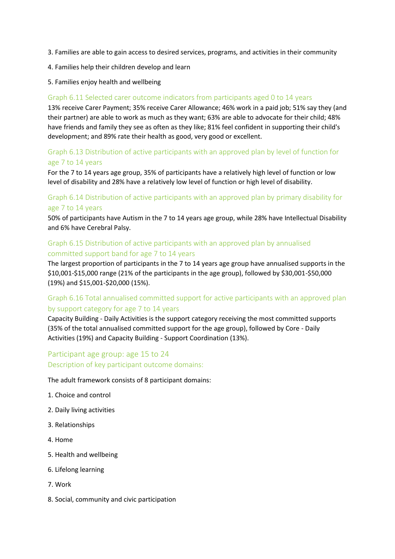- 3. Families are able to gain access to desired services, programs, and activities in their community
- 4. Families help their children develop and learn
- 5. Families enjoy health and wellbeing

#### Graph 6.11 Selected carer outcome indicators from participants aged 0 to 14 years

13% receive Carer Payment; 35% receive Carer Allowance; 46% work in a paid job; 51% say they (and their partner) are able to work as much as they want; 63% are able to advocate for their child; 48% have friends and family they see as often as they like; 81% feel confident in supporting their child's development; and 89% rate their health as good, very good or excellent.

#### Graph 6.13 Distribution of active participants with an approved plan by level of function for age 7 to 14 years

For the 7 to 14 years age group, 35% of participants have a relatively high level of function or low level of disability and 28% have a relatively low level of function or high level of disability.

#### Graph 6.14 Distribution of active participants with an approved plan by primary disability for age 7 to 14 years

50% of participants have Autism in the 7 to 14 years age group, while 28% have Intellectual Disability and 6% have Cerebral Palsy.

#### Graph 6.15 Distribution of active participants with an approved plan by annualised committed support band for age 7 to 14 years

The largest proportion of participants in the 7 to 14 years age group have annualised supports in the \$10,001-\$15,000 range (21% of the participants in the age group), followed by \$30,001-\$50,000 (19%) and \$15,001-\$20,000 (15%).

# Graph 6.16 Total annualised committed support for active participants with an approved plan by support category for age 7 to 14 years

Capacity Building - Daily Activities is the support category receiving the most committed supports (35% of the total annualised committed support for the age group), followed by Core - Daily Activities (19%) and Capacity Building - Support Coordination (13%).

# Participant age group: age 15 to 24 Description of key participant outcome domains:

The adult framework consists of 8 participant domains:

- 1. Choice and control
- 2. Daily living activities
- 3. Relationships
- 4. Home
- 5. Health and wellbeing
- 6. Lifelong learning
- 7. Work
- 8. Social, community and civic participation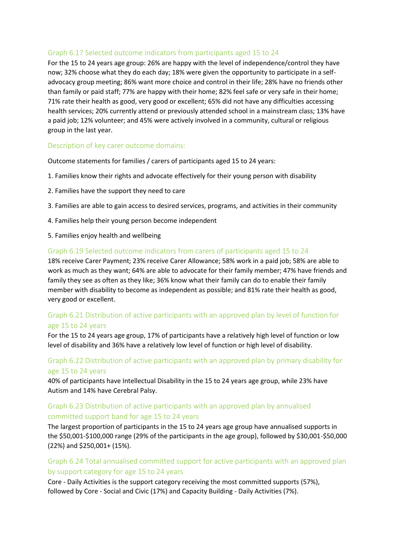#### Graph 6.17 Selected outcome indicators from participants aged 15 to 24

For the 15 to 24 years age group: 26% are happy with the level of independence/control they have now; 32% choose what they do each day; 18% were given the opportunity to participate in a selfadvocacy group meeting; 86% want more choice and control in their life; 28% have no friends other than family or paid staff; 77% are happy with their home; 82% feel safe or very safe in their home; 71% rate their health as good, very good or excellent; 65% did not have any difficulties accessing health services; 20% currently attend or previously attended school in a mainstream class; 13% have a paid job; 12% volunteer; and 45% were actively involved in a community, cultural or religious group in the last year.

#### Description of key carer outcome domains:

Outcome statements for families / carers of participants aged 15 to 24 years:

- 1. Families know their rights and advocate effectively for their young person with disability
- 2. Families have the support they need to care
- 3. Families are able to gain access to desired services, programs, and activities in their community
- 4. Families help their young person become independent
- 5. Families enjoy health and wellbeing

#### Graph 6.19 Selected outcome indicators from carers of participants aged 15 to 24

18% receive Carer Payment; 23% receive Carer Allowance; 58% work in a paid job; 58% are able to work as much as they want; 64% are able to advocate for their family member; 47% have friends and family they see as often as they like; 36% know what their family can do to enable their family member with disability to become as independent as possible; and 81% rate their health as good, very good or excellent.

#### Graph 6.21 Distribution of active participants with an approved plan by level of function for age 15 to 24 years

For the 15 to 24 years age group, 17% of participants have a relatively high level of function or low level of disability and 36% have a relatively low level of function or high level of disability.

#### Graph 6.22 Distribution of active participants with an approved plan by primary disability for age 15 to 24 years

40% of participants have Intellectual Disability in the 15 to 24 years age group, while 23% have Autism and 14% have Cerebral Palsy.

#### Graph 6.23 Distribution of active participants with an approved plan by annualised committed support band for age 15 to 24 years

The largest proportion of participants in the 15 to 24 years age group have annualised supports in the \$50,001-\$100,000 range (29% of the participants in the age group), followed by \$30,001-\$50,000 (22%) and \$250,001+ (15%).

#### Graph 6.24 Total annualised committed support for active participants with an approved plan by support category for age 15 to 24 years

Core - Daily Activities is the support category receiving the most committed supports (57%), followed by Core - Social and Civic (17%) and Capacity Building - Daily Activities (7%).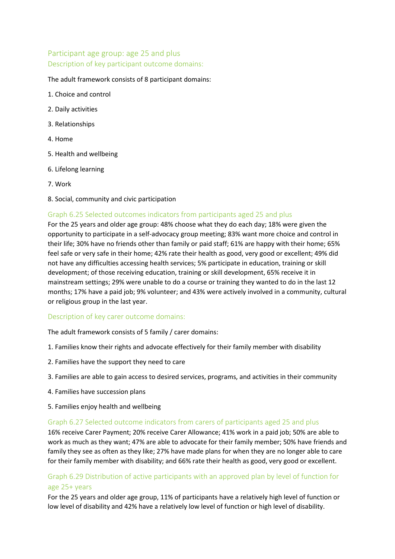# Participant age group: age 25 and plus Description of key participant outcome domains:

#### The adult framework consists of 8 participant domains:

- 1. Choice and control
- 2. Daily activities
- 3. Relationships
- 4. Home
- 5. Health and wellbeing
- 6. Lifelong learning
- 7. Work
- 8. Social, community and civic participation

#### Graph 6.25 Selected outcomes indicators from participants aged 25 and plus

For the 25 years and older age group: 48% choose what they do each day; 18% were given the opportunity to participate in a self-advocacy group meeting; 83% want more choice and control in their life; 30% have no friends other than family or paid staff; 61% are happy with their home; 65% feel safe or very safe in their home; 42% rate their health as good, very good or excellent; 49% did not have any difficulties accessing health services; 5% participate in education, training or skill development; of those receiving education, training or skill development, 65% receive it in mainstream settings; 29% were unable to do a course or training they wanted to do in the last 12 months; 17% have a paid job; 9% volunteer; and 43% were actively involved in a community, cultural or religious group in the last year.

#### Description of key carer outcome domains:

The adult framework consists of 5 family / carer domains:

- 1. Families know their rights and advocate effectively for their family member with disability
- 2. Families have the support they need to care
- 3. Families are able to gain access to desired services, programs, and activities in their community
- 4. Families have succession plans
- 5. Families enjoy health and wellbeing

#### Graph 6.27 Selected outcome indicators from carers of participants aged 25 and plus

16% receive Carer Payment; 20% receive Carer Allowance; 41% work in a paid job; 50% are able to work as much as they want; 47% are able to advocate for their family member; 50% have friends and family they see as often as they like; 27% have made plans for when they are no longer able to care for their family member with disability; and 66% rate their health as good, very good or excellent.

#### Graph 6.29 Distribution of active participants with an approved plan by level of function for age 25+ years

For the 25 years and older age group, 11% of participants have a relatively high level of function or low level of disability and 42% have a relatively low level of function or high level of disability.